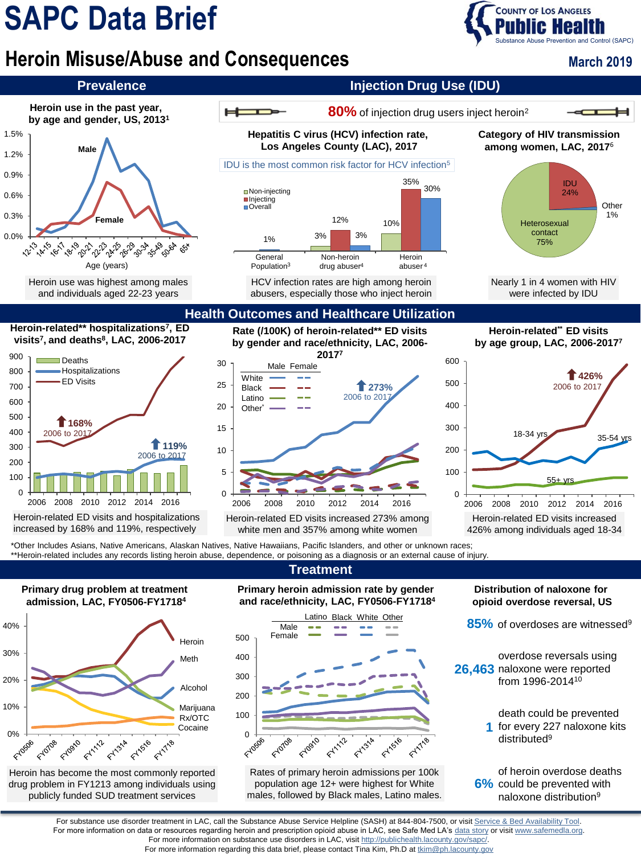# **SAPC Data Brief**

## **COUNTY OF LOS ANGELES Substance Abuse Prevention and Control (SAPC)**

## **Heroin Misuse/Abuse and Consequences**



For more information on substance use disorders in LAC, visit<http://publichealth.lacounty.gov/sapc/>.

For more information regarding this data brief, please contact Tina Kim, Ph.D at [tkim@ph.lacounty.gov](mailto:tkim@ph.lacounty.gov)